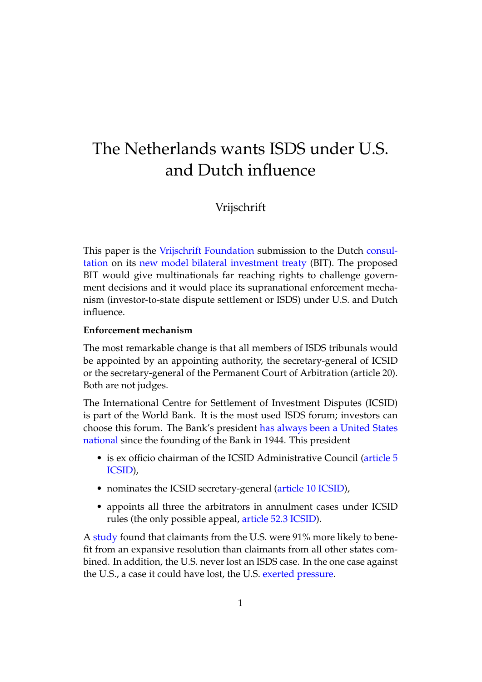# The Netherlands wants ISDS under U.S. and Dutch influence

## Vrijschrift

This paper is the [Vrijschrift Foundation](https://www.vrijschrift.org) submission to the Dutch [consul](https://www.internetconsultatie.nl/investeringsakkoorden)[tation](https://www.internetconsultatie.nl/investeringsakkoorden) on its [new model bilateral investment treaty](https://www.internetconsultatie.nl/investeringsakkoorden/document/3586) (BIT). The proposed BIT would give multinationals far reaching rights to challenge government decisions and it would place its supranational enforcement mechanism (investor-to-state dispute settlement or ISDS) under U.S. and Dutch influence.

#### **Enforcement mechanism**

The most remarkable change is that all members of ISDS tribunals would be appointed by an appointing authority, the secretary-general of ICSID or the secretary-general of the Permanent Court of Arbitration (article 20). Both are not judges.

The International Centre for Settlement of Investment Disputes (ICSID) is part of the World Bank. It is the most used ISDS forum; investors can choose this forum. The Bank's president [has always been a United States](https://www.oecd.org/investment/investment-policy/ISDs-Appointing-Authorities-Arbitration-March-2018.pdf) [national](https://www.oecd.org/investment/investment-policy/ISDs-Appointing-Authorities-Arbitration-March-2018.pdf) since the founding of the Bank in 1944. This president

- is ex officio chairman of the ICSID Administrative Council [\(article 5](http://icsidfiles.worldbank.org/icsid/icsid/staticfiles/basicdoc/parta-chap01.htm) [ICSID\)](http://icsidfiles.worldbank.org/icsid/icsid/staticfiles/basicdoc/parta-chap01.htm),
- nominates the ICSID secretary-general [\(article 10 ICSID\)](http://icsidfiles.worldbank.org/icsid/icsid/staticfiles/basicdoc/parta-chap01.htm),
- appoints all three the arbitrators in annulment cases under ICSID rules (the only possible appeal, [article 52.3 ICSID\)](http://icsidfiles.worldbank.org/icsid/icsid/staticfiles/basicdoc/partA-chap04.htm).

A [study](http://digitalcommons.osgoode.yorku.ca/ohlj/vol50/iss1/6/) found that claimants from the U.S. were 91% more likely to benefit from an expansive resolution than claimants from all other states combined. In addition, the U.S. never lost an ISDS case. In the one case against the U.S., a case it could have lost, the U.S. [exerted pressure.](https://papers.ssrn.com/sol3/papers.cfm?abstract_id=241018)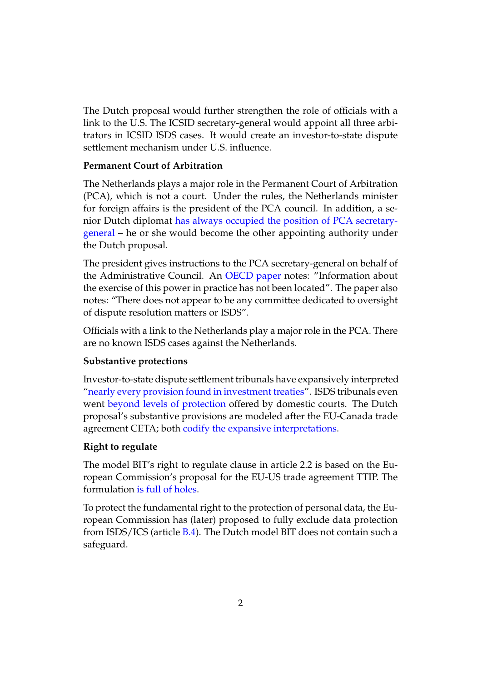The Dutch proposal would further strengthen the role of officials with a link to the U.S. The ICSID secretary-general would appoint all three arbitrators in ICSID ISDS cases. It would create an investor-to-state dispute settlement mechanism under U.S. influence.

#### **Permanent Court of Arbitration**

The Netherlands plays a major role in the Permanent Court of Arbitration (PCA), which is not a court. Under the rules, the Netherlands minister for foreign affairs is the president of the PCA council. In addition, a senior Dutch diplomat [has always occupied the position of PCA secretary](https://www.oecd.org/investment/investment-policy/ISDs-Appointing-Authorities-Arbitration-March-2018.pdf)[general](https://www.oecd.org/investment/investment-policy/ISDs-Appointing-Authorities-Arbitration-March-2018.pdf) – he or she would become the other appointing authority under the Dutch proposal.

The president gives instructions to the PCA secretary-general on behalf of the Administrative Council. An [OECD paper](https://www.oecd.org/investment/investment-policy/ISDs-Appointing-Authorities-Arbitration-March-2018.pdf) notes: "Information about the exercise of this power in practice has not been located". The paper also notes: "There does not appear to be any committee dedicated to oversight of dispute resolution matters or ISDS".

Officials with a link to the Netherlands play a major role in the PCA. There are no known ISDS cases against the Netherlands.

#### **Substantive protections**

Investor-to-state dispute settlement tribunals have expansively interpreted ["nearly every provision found in investment treaties"](https://www.kent.ac.uk/law/isds_treaty_consultation.html). ISDS tribunals even went [beyond levels of protection](https://blog.ffii.org/multilateral-investment-court-strengthens-investments-vis-a-vis-democracy-and-fundamental-rights/#sec-2-1) offered by domestic courts. The Dutch proposal's substantive provisions are modeled after the EU-Canada trade agreement CETA; both [codify the expansive interpretations.](https://blog.ffii.org/multilateral-investment-court-strengthens-investments-vis-a-vis-democracy-and-fundamental-rights/#sec-2-1)

#### **Right to regulate**

The model BIT's right to regulate clause in article 2.2 is based on the European Commission's proposal for the EU-US trade agreement TTIP. The formulation [is full of holes.](https://blog.ffii.org/eu-commission-isds-proposal-a-threat-to-democracy-and-civil-rights/#sec-2-1)

To protect the fundamental right to the protection of personal data, the European Commission has (later) proposed to fully exclude data protection from ISDS/ICS (article [B.4\)](https://www.politico.eu/wp-content/uploads/2018/02/Data-flow-provisions-POLITICO.pdf). The Dutch model BIT does not contain such a safeguard.